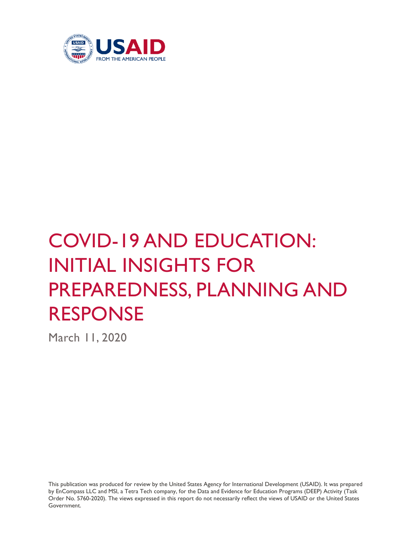

# COVID-19 AND EDUCATION: INITIAL INSIGHTS FOR PREPAREDNESS, PLANNING AND RESPONSE

March 11, 2020

This publication was produced for review by the United States Agency for International Development (USAID). It was prepared by EnCompass LLC and MSI, a Tetra Tech company, for the Data and Evidence for Education Programs (DEEP) Activity (Task Order No. 5760-2020). The views expressed in this report do not necessarily reflect the views of USAID or the United States Government.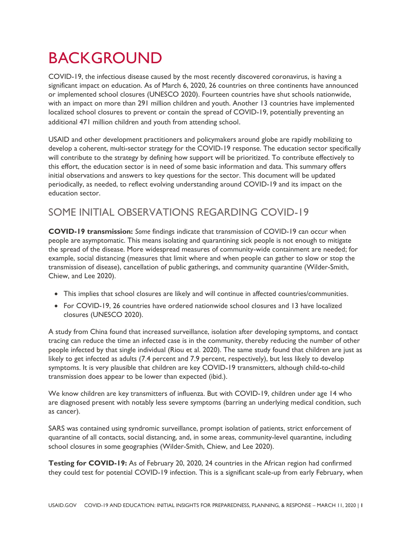## BACKGROUND

COVID-19, the infectious disease caused by the most recently discovered coronavirus, is having a significant impact on education. As of March 6, 2020, 26 countries on three continents have announced or implemented school closures (UNESCO 2020). Fourteen countries have shut schools nationwide, with an impact on more than 291 million children and youth. Another 13 countries have implemented localized school closures to prevent or contain the spread of COVID-19, potentially preventing an additional 471 million children and youth from attending school.

USAID and other development practitioners and policymakers around globe are rapidly mobilizing to develop a coherent, multi-sector strategy for the COVID-19 response. The education sector specifically will contribute to the strategy by defining how support will be prioritized. To contribute effectively to this effort, the education sector is in need of some basic information and data. This summary offers initial observations and answers to key questions for the sector. This document will be updated periodically, as needed, to reflect evolving understanding around COVID-19 and its impact on the education sector.

## SOME INITIAL OBSERVATIONS REGARDING COVID-19

**COVID-19 transmission:** *Some* findings indicate that transmission of COVID-19 can occur when people are asymptomatic. This means isolating and quarantining sick people is not enough to mitigate the spread of the disease. More widespread measures of community-wide containment are needed; for example, social distancing (measures that limit where and when people can gather to slow or stop the transmission of disease), cancellation of public gatherings, and community quarantine (Wilder-Smith, Chiew, and Lee 2020).

- This implies that school closures are likely and will continue in affected countries/communities.
- For COVID-19, 26 countries have ordered nationwide school closures and 13 have localized closures (UNESCO 2020).

A study from China found that increased surveillance, isolation after developing symptoms, and contact tracing can reduce the time an infected case is in the community, thereby reducing the number of other people infected by that single individual (Riou et al. 2020). The same study found that children are just as likely to get infected as adults (7.4 percent and 7.9 percent, respectively), but less likely to develop symptoms. It is very plausible that children are key COVID-19 transmitters, although child-to-child transmission does appear to be lower than expected (ibid.).

We know children are key transmitters of influenza. But with COVID-19, children under age 14 who are diagnosed present with notably less severe symptoms (barring an underlying medical condition, such as cancer).

SARS was contained using syndromic surveillance, prompt isolation of patients, strict enforcement of quarantine of all contacts, social distancing, and, in some areas, community-level quarantine, including school closures in some geographies (Wilder-Smith, Chiew, and Lee 2020).

**Testing for COVID-19:** As of February 20, 2020, 24 countries in the African region had confirmed they could test for potential COVID-19 infection. This is a significant scale-up from early February, when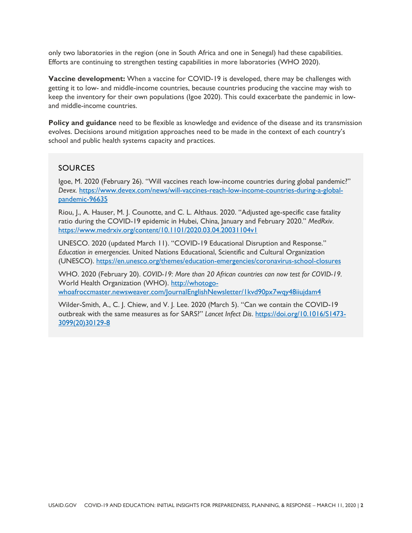only two laboratories in the region (one in South Africa and one in Senegal) had these capabilities. Efforts are continuing to strengthen testing capabilities in more laboratories (WHO 2020).

**Vaccine development:** When a vaccine for COVID-19 is developed, there may be challenges with getting it to low- and middle-income countries, because countries producing the vaccine may wish to keep the inventory for their own populations (Igoe 2020). This could exacerbate the pandemic in lowand middle-income countries.

**Policy and guidance** need to be flexible as knowledge and evidence of the disease and its transmission evolves. Decisions around mitigation approaches need to be made in the context of each country's school and public health systems capacity and practices.

#### SOURCES

Igoe, M. 2020 (February 26). "Will vaccines reach low-income countries during global pandemic?" *Devex.* [https://www.devex.com/news/will-vaccines-reach-low-income-countries-during-a-global](https://www.devex.com/news/will-vaccines-reach-low-income-countries-during-a-global-pandemic-96635)[pandemic-96635](https://www.devex.com/news/will-vaccines-reach-low-income-countries-during-a-global-pandemic-96635)

Riou, J., A. Hauser, M. J. Counotte, and C. L. Althaus. 2020. "Adjusted age-specific case fatality ratio during the COVID-19 epidemic in Hubei, China, January and February 2020." *MedRxiv*. <https://www.medrxiv.org/content/10.1101/2020.03.04.20031104v1>

UNESCO. 2020 (updated March 11). "COVID-19 Educational Disruption and Response." *Education in emergencies.* United Nations Educational, Scientific and Cultural Organization (UNESCO).<https://en.unesco.org/themes/education-emergencies/coronavirus-school-closures>

WHO. 2020 (February 20). *COVID-19: More than 20 African countries can now test for COVID-19.*  World Health Organization (WHO). [http://whotogo](http://whotogo-whoafroccmaster.newsweaver.com/JournalEnglishNewsletter/1kvd90px7wqy48iiujdam4)[whoafroccmaster.newsweaver.com/JournalEnglishNewsletter/1kvd90px7wqy48iiujdam4](http://whotogo-whoafroccmaster.newsweaver.com/JournalEnglishNewsletter/1kvd90px7wqy48iiujdam4)

Wilder-Smith, A., C. J. Chiew, and V. J. Lee. 2020 (March 5). "Can we contain the COVID-19 outbreak with the same measures as for SARS?" *Lancet Infect Dis*. [https://doi.org/10.1016/S1473-](https://doi.org/10.1016/S1473-3099(20)30129-8) [3099\(20\)30129-8](https://doi.org/10.1016/S1473-3099(20)30129-8)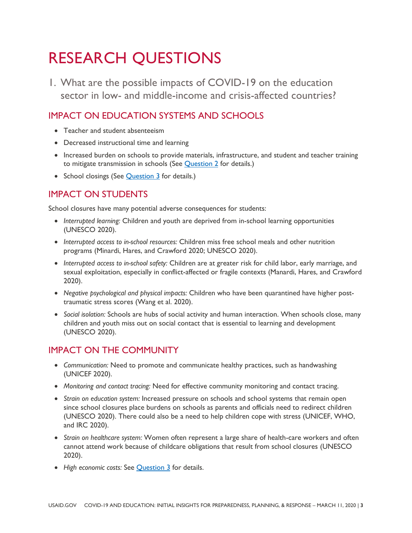## RESEARCH QUESTIONS

1. What are the possible impacts of COVID-19 on the education sector in low- and middle-income and crisis-affected countries?

## IMPACT ON EDUCATION SYSTEMS AND SCHOOLS

- Teacher and student absenteeism
- Decreased instructional time and learning
- Increased burden on schools to provide materials, infrastructure, and student and teacher training to mitigate transmission in schools (See [Question 2](#page-5-0) for details.)
- School closings (See **[Question 3](#page-7-0)** for details.)

## IMPACT ON STUDENTS

School closures have many potential adverse consequences for students:

- *Interrupted learning:* Children and youth are deprived from in-school learning opportunities (UNESCO 2020).
- *Interrupted access to in-school resources:* Children miss free school meals and other nutrition programs (Minardi, Hares, and Crawford 2020; UNESCO 2020).
- *Interrupted access to in-school safety:* Children are at greater risk for child labor, early marriage, and sexual exploitation, especially in conflict-affected or fragile contexts (Manardi, Hares, and Crawford 2020).
- *Negative psychological and physical impacts:* Children who have been quarantined have higher posttraumatic stress scores (Wang et al. 2020).
- *Social isolation:* Schools are hubs of social activity and human interaction. When schools close, many children and youth miss out on social contact that is essential to learning and development (UNESCO 2020).

## IMPACT ON THE COMMUNITY

- *Communication:* Need to promote and communicate healthy practices, such as handwashing (UNICEF 2020).
- *Monitoring and contact tracing:* Need for effective community monitoring and contact tracing.
- *Strain on education system:* Increased pressure on schools and school systems that remain open since school closures place burdens on schools as parents and officials need to redirect children (UNESCO 2020). There could also be a need to help children cope with stress (UNICEF, WHO, and IRC 2020).
- *Strain on healthcare system:* Women often represent a large share of health-care workers and often cannot attend work because of childcare obligations that result from school closures (UNESCO 2020).
- *High economic costs:* See [Question 3](#page-7-0) for details.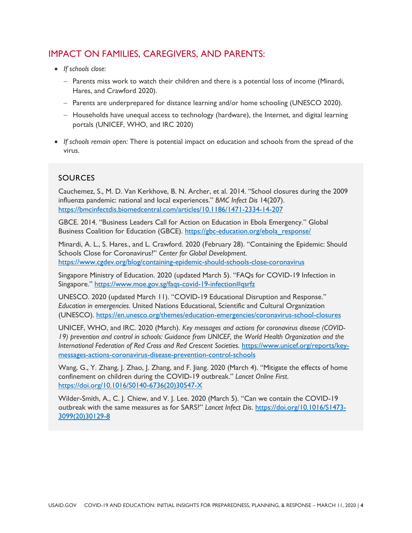#### IMPACT ON FAMILIES, CAREGIVERS, AND PARENTS:

- *If schools close:*
	- − Parents miss work to watch their children and there is a potential loss of income (Minardi, Hares, and Crawford 2020).
	- − Parents are underprepared for distance learning and/or home schooling (UNESCO 2020).
	- − Households have unequal access to technology (hardware), the Internet, and digital learning portals (UNICEF, WHO, and IRC 2020)
- *If schools remain open:* There is potential impact on education and schools from the spread of the virus.

#### SOURCES

Cauchemez, S., M. D. Van Kerkhove, B. N. Archer, et al. 2014. "School closures during the 2009 influenza pandemic: national and local experiences." *BMC Infect Dis* 14(207). <https://bmcinfectdis.biomedcentral.com/articles/10.1186/1471-2334-14-207>

GBCE. 2014. "Business Leaders Call for Action on Education in Ebola Emergency." Global Business Coalition for Education (GBCE). [https://gbc-education.org/ebola\\_response/](https://gbc-education.org/ebola_response/)

Minardi, A. L., S. Hares., and L. Crawford. 2020 (February 28). "Containing the Epidemic: Should Schools Close for Coronavirus?" *Center for Global Development*. <https://www.cgdev.org/blog/containing-epidemic-should-schools-close-coronavirus>

Singapore Ministry of Education. 2020 (updated March 5). "FAQs for COVID-19 Infection in Singapore." <https://www.moe.gov.sg/faqs-covid-19-infection#qsrfz>

UNESCO. 2020 (updated March 11). "COVID-19 Educational Disruption and Response." *Education in emergencies.* United Nations Educational, Scientific and Cultural Organization (UNESCO).<https://en.unesco.org/themes/education-emergencies/coronavirus-school-closures>

UNICEF, WHO, and IRC. 2020 (March). *Key messages and actions for coronavirus disease (COVID-19) prevention and control in schools: Guidance from UNICEF, the World Health Organization and the International Federation of Red Cross and Red Crescent Societies.* [https://www.unicef.org/reports/key](https://www.unicef.org/reports/key-messages-actions-coronavirus-disease-prevention-control-schools)[messages-actions-coronavirus-disease-prevention-control-schools](https://www.unicef.org/reports/key-messages-actions-coronavirus-disease-prevention-control-schools)

Wang, G., Y. Zhang, J. Zhao, J. Zhang, and F. Jiang. 2020 (March 4). "Mitigate the effects of home confinement on children during the COVID-19 outbreak." *Lancet Online First*. [https://doi.org/10.1016/S0140-6736\(20\)30547-X](https://doi.org/10.1016/S0140-6736(20)30547-X)

Wilder-Smith, A., C. J. Chiew, and V. J. Lee. 2020 (March 5). "Can we contain the COVID-19 outbreak with the same measures as for SARS?" *Lancet Infect Dis*. [https://doi.org/10.1016/S1473-](https://doi.org/10.1016/S1473-3099(20)30129-8) [3099\(20\)30129-8](https://doi.org/10.1016/S1473-3099(20)30129-8)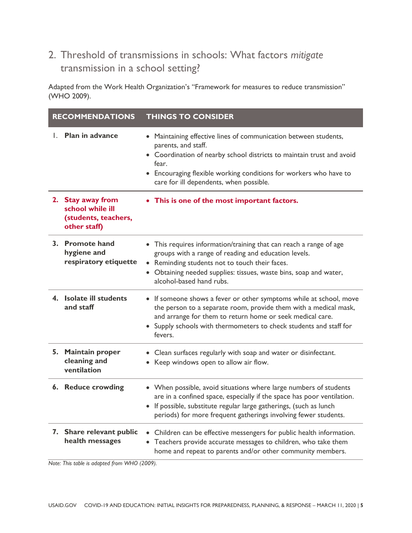## <span id="page-5-0"></span>2. Threshold of transmissions in schools: What factors *mitigate* transmission in a school setting?

Adapted from the Work Health Organization's "Framework for measures to reduce transmission" (WHO 2009).

| <b>RECOMMENDATIONS</b> |                                                                               | <b>THINGS TO CONSIDER</b>                                                                                                                                                                                                                                                                 |
|------------------------|-------------------------------------------------------------------------------|-------------------------------------------------------------------------------------------------------------------------------------------------------------------------------------------------------------------------------------------------------------------------------------------|
|                        | 1. Plan in advance                                                            | • Maintaining effective lines of communication between students,<br>parents, and staff.<br>• Coordination of nearby school districts to maintain trust and avoid<br>fear.<br>• Encouraging flexible working conditions for workers who have to<br>care for ill dependents, when possible. |
|                        | 2. Stay away from<br>school while ill<br>(students, teachers,<br>other staff) | • This is one of the most important factors.                                                                                                                                                                                                                                              |
|                        | 3. Promote hand<br>hygiene and<br>respiratory etiquette                       | • This requires information/training that can reach a range of age<br>groups with a range of reading and education levels.<br>Reminding students not to touch their faces.<br>Obtaining needed supplies: tissues, waste bins, soap and water,<br>alcohol-based hand rubs.                 |
|                        | 4. Isolate ill students<br>and staff                                          | • If someone shows a fever or other symptoms while at school, move<br>the person to a separate room, provide them with a medical mask,<br>and arrange for them to return home or seek medical care.<br>• Supply schools with thermometers to check students and staff for<br>fevers.      |
|                        | 5. Maintain proper<br>cleaning and<br>ventilation                             | • Clean surfaces regularly with soap and water or disinfectant.<br>• Keep windows open to allow air flow.                                                                                                                                                                                 |
|                        | 6. Reduce crowding                                                            | • When possible, avoid situations where large numbers of students<br>are in a confined space, especially if the space has poor ventilation.<br>• If possible, substitute regular large gatherings, (such as lunch<br>periods) for more frequent gatherings involving fewer students.      |
|                        | 7. Share relevant public<br>health messages                                   | Children can be effective messengers for public health information.<br>$\bullet$<br>Teachers provide accurate messages to children, who take them<br>$\bullet$<br>home and repeat to parents and/or other community members.                                                              |

*Note: This table is adapted from WHO (2009).*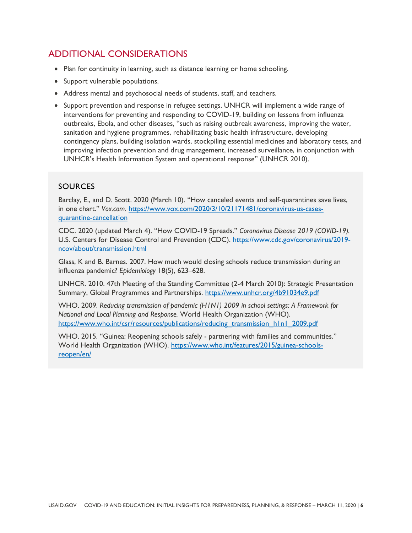## ADDITIONAL CONSIDERATIONS

- Plan for continuity in learning, such as distance learning or home schooling.
- Support vulnerable populations.
- Address mental and psychosocial needs of students, staff, and teachers.
- Support prevention and response in refugee settings. UNHCR will implement a wide range of interventions for preventing and responding to COVID-19, building on lessons from influenza outbreaks, Ebola, and other diseases, "such as raising outbreak awareness, improving the water, sanitation and hygiene programmes, rehabilitating basic health infrastructure, developing contingency plans, building isolation wards, stockpiling essential medicines and laboratory tests, and improving infection prevention and drug management, increased surveillance, in conjunction with UNHCR's Health Information System and operational response" (UNHCR 2010).

#### SOURCES

Barclay, E., and D. Scott. 2020 (March 10). "How canceled events and self-quarantines save lives, in one chart." *Vox.com*. [https://www.vox.com/2020/3/10/21171481/coronavirus-us-cases](https://www.vox.com/2020/3/10/21171481/coronavirus-us-cases-quarantine-cancellation)[quarantine-cancellation](https://www.vox.com/2020/3/10/21171481/coronavirus-us-cases-quarantine-cancellation)

CDC. 2020 (updated March 4). "How COVID-19 Spreads." *Coronavirus Disease 2019 (COVID-19).*  U.S. Centers for Disease Control and Prevention (CDC). [https://www.cdc.gov/coronavirus/2019](https://www.cdc.gov/coronavirus/2019-ncov/about/transmission.html) [ncov/about/transmission.html](https://www.cdc.gov/coronavirus/2019-ncov/about/transmission.html)

Glass, K and B. Barnes. 2007. How much would closing schools reduce transmission during an influenza pandemic? *Epidemiology* 18(5), 623–628.

UNHCR. 2010. 47th Meeting of the Standing Committee (2-4 March 2010): Strategic Presentation Summary, Global Programmes and Partnerships.<https://www.unhcr.org/4b91034e9.pdf>

WHO. 2009. *Reducing transmission of pandemic (H1N1) 2009 in school settings: A Framework for National and Local Planning and Response.* World Health Organization (WHO). [https://www.who.int/csr/resources/publications/reducing\\_transmission\\_h1n1\\_2009.pdf](https://www.who.int/csr/resources/publications/reducing_transmission_h1n1_2009.pdf)

WHO. 2015. "Guinea: Reopening schools safely - partnering with families and communities." World Health Organization (WHO). [https://www.who.int/features/2015/guinea-schools](https://www.who.int/features/2015/guinea-schools-reopen/en/)[reopen/en/](https://www.who.int/features/2015/guinea-schools-reopen/en/)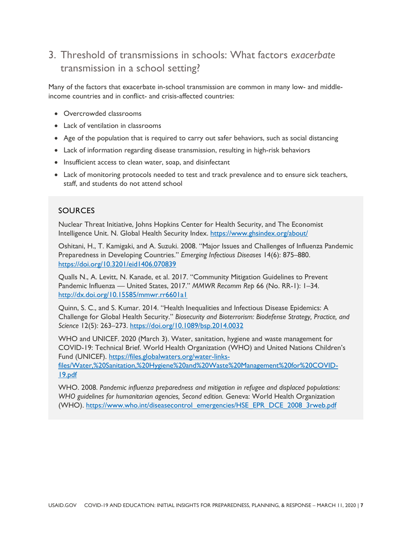## <span id="page-7-0"></span>3. Threshold of transmissions in schools: What factors *exacerbate* transmission in a school setting?

Many of the factors that exacerbate in-school transmission are common in many low- and middleincome countries and in conflict- and crisis-affected countries:

- Overcrowded classrooms
- Lack of ventilation in classrooms
- Age of the population that is required to carry out safer behaviors, such as social distancing
- Lack of information regarding disease transmission, resulting in high-risk behaviors
- Insufficient access to clean water, soap, and disinfectant
- Lack of monitoring protocols needed to test and track prevalence and to ensure sick teachers, staff, and students do not attend school

#### SOURCES

Nuclear Threat Initiative, Johns Hopkins Center for Health Security, and The Economist Intelligence Unit. N. Global Health Security Index. <https://www.ghsindex.org/about/>

Oshitani, H., T. Kamigaki, and A. Suzuki. 2008. "Major Issues and Challenges of Influenza Pandemic Preparedness in Developing Countries." *Emerging Infectious Diseases* 14(6): 875–880. <https://doi.org/10.3201/eid1406.070839>

Qualls N., A. Levitt, N. Kanade, et al. 2017. "Community Mitigation Guidelines to Prevent Pandemic Influenza — United States, 2017." *MMWR Recomm Rep* 66 (No. RR-1): 1–34. <http://dx.doi.org/10.15585/mmwr.rr6601a1>

Quinn, S. C., and S. Kumar. 2014. "Health Inequalities and Infectious Disease Epidemics: A Challenge for Global Health Security." *Biosecurity and Bioterrorism: Biodefense Strategy, Practice, and Science* 12(5): 263–273. <https://doi.org/10.1089/bsp.2014.0032>

WHO and UNICEF. 2020 (March 3). Water, sanitation, hygiene and waste management for COVID-19: Technical Brief. World Health Organization (WHO) and United Nations Children's Fund (UNICEF). [https://files.globalwaters.org/water-links-](https://files.globalwaters.org/water-links-files/Water,%20Sanitation,%20Hygiene%20and%20Waste%20Management%20for%20COVID-19.pdf)

[files/Water,%20Sanitation,%20Hygiene%20and%20Waste%20Management%20for%20COVID-](https://files.globalwaters.org/water-links-files/Water,%20Sanitation,%20Hygiene%20and%20Waste%20Management%20for%20COVID-19.pdf)[19.pdf](https://files.globalwaters.org/water-links-files/Water,%20Sanitation,%20Hygiene%20and%20Waste%20Management%20for%20COVID-19.pdf)

WHO. 2008. *Pandemic influenza preparedness and mitigation in refugee and displaced populations: WHO guidelines for humanitarian agencies, Second edition.* Geneva: World Health Organization (WHO). [https://www.who.int/diseasecontrol\\_emergencies/HSE\\_EPR\\_DCE\\_2008\\_3rweb.pdf](https://www.who.int/diseasecontrol_emergencies/HSE_EPR_DCE_2008_3rweb.pdf)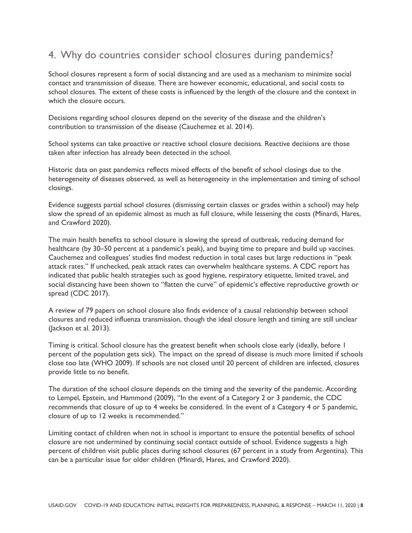## 4. Why do countries consider school closures during pandemics?

School closures represent a form of social distancing and are used as a mechanism to minimize social contact and transmission of disease. There are however economic, educational, and social costs to school closures. The extent of these costs is influenced by the length of the closure and the context in which the closure occurs.

Decisions regarding school closures depend on the severity of the disease and the children's contribution to transmission of the disease (Cauchemez et al. 2014).

School systems can take proactive or reactive school closure decisions. Reactive decisions are those taken after infection has already been detected in the school.

Historic data on past pandemics reflects mixed effects of the benefit of school closings due to the heterogeneity of diseases observed, as well as heterogeneity in the implementation and timing of school closings.

Evidence suggests partial school closures (dismissing certain classes or grades within a school) may help slow the spread of an epidemic almost as much as full closure, while lessening the costs (Minardi, Hares, and Crawford 2020).

The main health benefits to school closure is slowing the spread of outbreak, reducing demand for healthcare (by 30–50 percent at a pandemic's peak), and buying time to prepare and build up vaccines. Cauchemez and colleagues' studies find modest reduction in total cases but large reductions in "peak attack rates." If unchecked, peak attack rates can overwhelm healthcare systems. A CDC report has indicated that public health strategies such as good hygiene, respiratory etiquette, limited travel, and social distancing have been shown to "flatten the curve" of epidemic's effective reproductive growth or spread (CDC 2017).

A review of 79 papers on school closure also finds evidence of a causal relationship between school closures and reduced influenza transmission, though the ideal closure length and timing are still unclear (Jackson et al. 2013).

Timing is critical. School closure has the greatest benefit when schools close early (ideally, before 1 percent of the population gets sick). The impact on the spread of disease is much more limited if schools close too late (WHO 2009). If schools are not closed until 20 percent of children are infected, closures provide little to no benefit.

The duration of the school closure depends on the timing and the severity of the pandemic. According to Lempel, Epstein, and Hammond (2009), "In the event of a Category 2 or 3 pandemic, the CDC recommends that closure of up to 4 weeks be considered. In the event of a Category 4 or 5 pandemic, closure of up to 12 weeks is recommended."

Limiting contact of children when not in school is important to ensure the potential benefits of school closure are not undermined by continuing social contact outside of school. Evidence suggests a high percent of children visit public places during school closures (67 percent in a study from Argentina). This can be a particular issue for older children (Minardi, Hares, and Crawford 2020).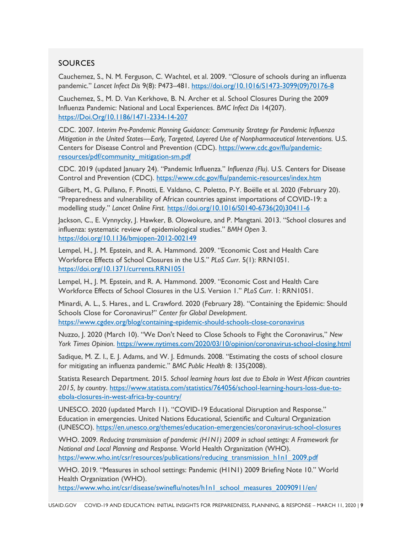#### **SOURCES**

Cauchemez, S., N. M. Ferguson, C. Wachtel, et al. 2009. "Closure of schools during an influenza pandemic." *Lancet Infect Dis* 9(8): P473–481. [https://doi.org/10.1016/S1473-3099\(09\)70176-8](https://doi.org/10.1016/S1473-3099(09)70176-8)

Cauchemez, S., M. D. Van Kerkhove, B. N. Archer et al. School Closures During the 2009 Influenza Pandemic: National and Local Experiences. *BMC Infect Dis* 14(207). [https://Doi.Org/10.1186/1471-2334-14-207](https://doi.org/10.1186/1471-2334-14-207)

CDC. 2007. *Interim Pre-Pandemic Planning Guidance: Community Strategy for Pandemic Influenza Mitigation in the United States—Early, Targeted, Layered Use of Nonpharmaceutical Interventions.* U.S. Centers for Disease Control and Prevention (CDC). [https://www.cdc.gov/flu/pandemic](https://www.cdc.gov/flu/pandemic-resources/pdf/community_mitigation-sm.pdf)[resources/pdf/community\\_mitigation-sm.pdf](https://www.cdc.gov/flu/pandemic-resources/pdf/community_mitigation-sm.pdf)

CDC. 2019 (updated January 24). "Pandemic Influenza." *Influenza (Flu).* U.S. Centers for Disease Control and Prevention (CDC).<https://www.cdc.gov/flu/pandemic-resources/index.htm>

Gilbert, M., G. Pullano, F. Pinotti, E. Valdano, C. Poletto, P-Y. Boëlle et al. 2020 (February 20). "Preparedness and vulnerability of African countries against importations of COVID-19: a modelling study." *Lancet Online First.* [https://doi.org/10.1016/S0140-6736\(20\)30411-6](https://doi.org/10.1016/S0140-6736(20)30411-6)

Jackson, C., E. Vynnycky, J. Hawker, B. Olowokure, and P. Mangtani. 2013. "School closures and influenza: systematic review of epidemiological studies." *BMH Open* 3. <https://doi.org/10.1136/bmjopen-2012-002149>

Lempel, H., J. M. Epstein, and R. A. Hammond. 2009. "Economic Cost and Health Care Workforce Effects of School Closures in the U.S." *PLoS Curr*. 5(1): RRN1051. <https://doi.org/10.1371/currents.RRN1051>

Lempel, H., J. M. Epstein, and R. A. Hammond. 2009. "Economic Cost and Health Care Workforce Effects of School Closures in the U.S. Version 1." *PLoS Curr*. 1: RRN1051.

Minardi, A. L., S. Hares., and L. Crawford. 2020 (February 28). "Containing the Epidemic: Should Schools Close for Coronavirus?" *Center for Global Development*. <https://www.cgdev.org/blog/containing-epidemic-should-schools-close-coronavirus>

Nuzzo, J. 2020 (March 10). "We Don't Need to Close Schools to Fight the Coronavirus," *New York Times Opinion*. <https://www.nytimes.com/2020/03/10/opinion/coronavirus-school-closing.html>

Sadique, M. Z. I., E. J. Adams, and W. J. Edmunds. 2008. "Estimating the costs of school closure for mitigating an influenza pandemic." *BMC Public Health* 8: 135(2008).

Statista Research Department. 2015. *School learning hours lost due to Ebola in West African countries 2015, by country*. [https://www.statista.com/statistics/764056/school-learning-hours-loss-due-to](https://www.statista.com/statistics/764056/school-learning-hours-loss-due-to-ebola-closures-in-west-africa-by-country/)[ebola-closures-in-west-africa-by-country/](https://www.statista.com/statistics/764056/school-learning-hours-loss-due-to-ebola-closures-in-west-africa-by-country/)

UNESCO. 2020 (updated March 11). "COVID-19 Educational Disruption and Response." Education in emergencies. United Nations Educational, Scientific and Cultural Organization (UNESCO).<https://en.unesco.org/themes/education-emergencies/coronavirus-school-closures>

WHO. 2009. *Reducing transmission of pandemic (H1N1) 2009 in school settings: A Framework for National and Local Planning and Response.* World Health Organization (WHO). [https://www.who.int/csr/resources/publications/reducing\\_transmission\\_h1n1\\_2009.pdf](https://www.who.int/csr/resources/publications/reducing_transmission_h1n1_2009.pdf)

WHO. 2019. "Measures in school settings: Pandemic (H1N1) 2009 Briefing Note 10." World Health Organization (WHO).

[https://www.who.int/csr/disease/swineflu/notes/h1n1\\_school\\_measures\\_20090911/en/](https://www.who.int/csr/disease/swineflu/notes/h1n1_school_measures_20090911/en/)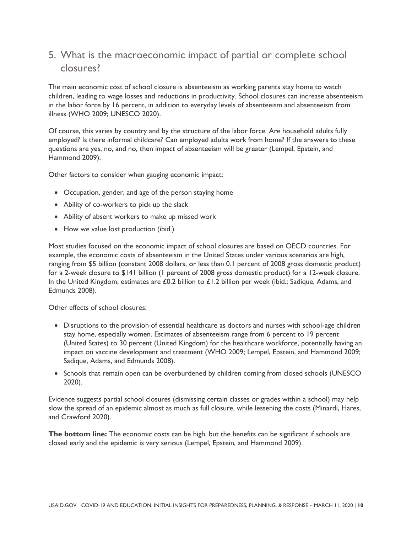## 5. What is the macroeconomic impact of partial or complete school closures?

The main economic cost of school closure is absenteeism as working parents stay home to watch children, leading to wage losses and reductions in productivity. School closures can increase absenteeism in the labor force by 16 percent, in addition to everyday levels of absenteeism and absenteeism from illness (WHO 2009; UNESCO 2020).

Of course, this varies by country and by the structure of the labor force. Are household adults fully employed? Is there informal childcare? Can employed adults work from home? If the answers to these questions are yes, no, and no, then impact of absenteeism will be greater (Lempel, Epstein, and Hammond 2009).

Other factors to consider when gauging economic impact:

- Occupation, gender, and age of the person staying home
- Ability of co-workers to pick up the slack
- Ability of absent workers to make up missed work
- How we value lost production (ibid.)

Most studies focused on the economic impact of school closures are based on OECD countries. For example, the economic costs of absenteeism in the United States under various scenarios are high, ranging from \$5 billion (constant 2008 dollars, or less than 0.1 percent of 2008 gross domestic product) for a 2-week closure to \$141 billion (1 percent of 2008 gross domestic product) for a 12-week closure. In the United Kingdom, estimates are £0.2 billion to £1.2 billion per week (ibid.; Sadique, Adams, and Edmunds 2008).

Other effects of school closures:

- Disruptions to the provision of essential healthcare as doctors and nurses with school-age children stay home, especially women. Estimates of absenteeism range from 6 percent to 19 percent (United States) to 30 percent (United Kingdom) for the healthcare workforce, potentially having an impact on vaccine development and treatment (WHO 2009; Lempel, Epstein, and Hammond 2009; Sadique, Adams, and Edmunds 2008).
- Schools that remain open can be overburdened by children coming from closed schools (UNESCO 2020).

Evidence suggests partial school closures (dismissing certain classes or grades within a school) may help slow the spread of an epidemic almost as much as full closure, while lessening the costs (Minardi, Hares, and Crawford 2020).

**The bottom line:** The economic costs can be high, but the benefits can be significant if schools are closed early and the epidemic is very serious (Lempel, Epstein, and Hammond 2009).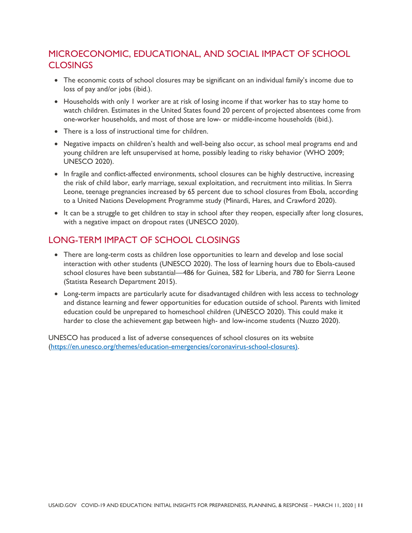## MICROECONOMIC, EDUCATIONAL, AND SOCIAL IMPACT OF SCHOOL **CLOSINGS**

- The economic costs of school closures may be significant on an individual family's income due to loss of pay and/or jobs (ibid.).
- Households with only 1 worker are at risk of losing income if that worker has to stay home to watch children. Estimates in the United States found 20 percent of projected absentees come from one-worker households, and most of those are low- or middle-income households (ibid.).
- There is a loss of instructional time for children.
- Negative impacts on children's health and well-being also occur, as school meal programs end and young children are left unsupervised at home, possibly leading to risky behavior (WHO 2009; UNESCO 2020).
- In fragile and conflict-affected environments, school closures can be highly destructive, increasing the risk of child labor, early marriage, sexual exploitation, and recruitment into militias. In Sierra Leone, teenage pregnancies increased by 65 percent due to school closures from Ebola, according to a United Nations Development Programme study (Minardi, Hares, and Crawford 2020).
- It can be a struggle to get children to stay in school after they reopen, especially after long closures, with a negative impact on dropout rates (UNESCO 2020).

## LONG-TERM IMPACT OF SCHOOL CLOSINGS

- There are long-term costs as children lose opportunities to learn and develop and lose social interaction with other students (UNESCO 2020). The loss of learning hours due to Ebola-caused school closures have been substantial—486 for Guinea, 582 for Liberia, and 780 for Sierra Leone (Statista Research Department 2015).
- Long-term impacts are particularly acute for disadvantaged children with less access to technology and distance learning and fewer opportunities for education outside of school. Parents with limited education could be unprepared to homeschool children (UNESCO 2020). This could make it harder to close the achievement gap between high- and low-income students (Nuzzo 2020).

UNESCO has produced a list of adverse consequences of school closures on its website [\(https://en.unesco.org/themes/education-emergencies/coronavirus-school-closures\)](https://en.unesco.org/themes/education-emergencies/coronavirus-school-closures).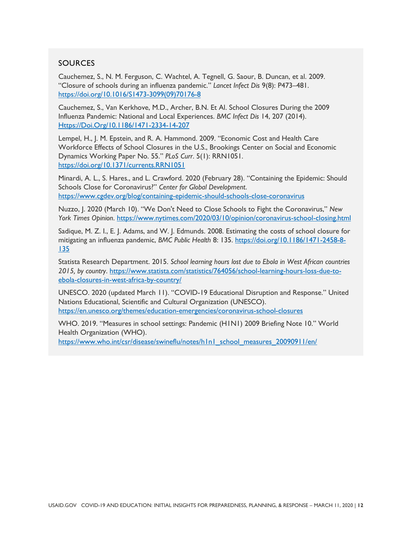#### **SOURCES**

Cauchemez, S., N. M. Ferguson, C. Wachtel, A. Tegnell, G. Saour, B. Duncan, et al. 2009. "Closure of schools during an influenza pandemic." *Lancet Infect Dis* 9(8): P473–481. [https://doi.org/10.1016/S1473-3099\(09\)70176-8](https://doi.org/10.1016/S1473-3099(09)70176-8)

Cauchemez, S., Van Kerkhove, M.D., Archer, B.N. Et Al. School Closures During the 2009 Influenza Pandemic: National and Local Experiences. *BMC Infect Dis* 14, 207 (2014). [Https://Doi.Org/10.1186/1471-2334-14-207](https://doi.org/10.1186/1471-2334-14-207)

Lempel, H., J. M. Epstein, and R. A. Hammond. 2009. "Economic Cost and Health Care Workforce Effects of School Closures in the U.S., Brookings Center on Social and Economic Dynamics Working Paper No. 55." *PLoS Curr*. 5(1): RRN1051. <https://doi.org/10.1371/currents.RRN1051>

Minardi, A. L., S. Hares., and L. Crawford. 2020 (February 28). "Containing the Epidemic: Should Schools Close for Coronavirus?" *Center for Global Development*. <https://www.cgdev.org/blog/containing-epidemic-should-schools-close-coronavirus>

Nuzzo, J. 2020 (March 10). "We Don't Need to Close Schools to Fight the Coronavirus," *New York Times Opinion*.<https://www.nytimes.com/2020/03/10/opinion/coronavirus-school-closing.html>

Sadique, M. Z. I., E. J. Adams, and W. J. Edmunds. 2008. Estimating the costs of school closure for mitigating an influenza pandemic, *BMC Public Health* 8: 135. [https://doi.org/10.1186/1471-2458-8-](https://doi.org/10.1186/1471-2458-8-135) [135](https://doi.org/10.1186/1471-2458-8-135)

Statista Research Department. 2015. *School learning hours lost due to Ebola in West African countries 2015, by country*. [https://www.statista.com/statistics/764056/school-learning-hours-loss-due-to](https://www.statista.com/statistics/764056/school-learning-hours-loss-due-to-ebola-closures-in-west-africa-by-country/)[ebola-closures-in-west-africa-by-country/](https://www.statista.com/statistics/764056/school-learning-hours-loss-due-to-ebola-closures-in-west-africa-by-country/)

UNESCO. 2020 (updated March 11). "COVID-19 Educational Disruption and Response." United Nations Educational, Scientific and Cultural Organization (UNESCO). <https://en.unesco.org/themes/education-emergencies/coronavirus-school-closures>

WHO. 2019. "Measures in school settings: Pandemic (H1N1) 2009 Briefing Note 10." World Health Organization (WHO).

[https://www.who.int/csr/disease/swineflu/notes/h1n1\\_school\\_measures\\_20090911/en/](https://www.who.int/csr/disease/swineflu/notes/h1n1_school_measures_20090911/en/)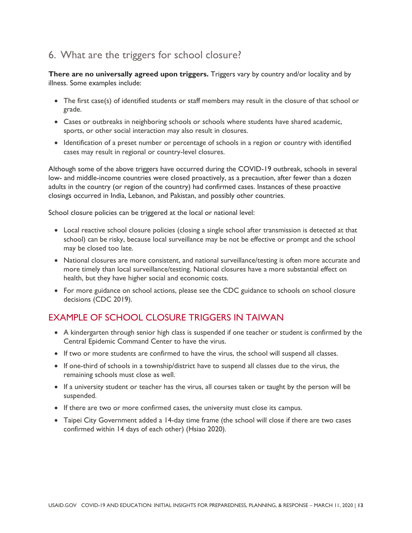## 6. What are the triggers for school closure?

**There are no universally agreed upon triggers.** Triggers vary by country and/or locality and by illness. Some examples include:

- The first case(s) of identified students or staff members may result in the closure of that school or grade.
- Cases or outbreaks in neighboring schools or schools where students have shared academic, sports, or other social interaction may also result in closures.
- Identification of a preset number or percentage of schools in a region or country with identified cases may result in regional or country-level closures.

Although some of the above triggers have occurred during the COVID-19 outbreak, schools in several low- and middle-income countries were closed proactively, as a precaution, after fewer than a dozen adults in the country (or region of the country) had confirmed cases. Instances of these proactive closings occurred in India, Lebanon, and Pakistan, and possibly other countries.

School closure policies can be triggered at the local or national level:

- Local reactive school closure policies (closing a single school after transmission is detected at that school) can be risky, because local surveillance may be not be effective or prompt and the school may be closed too late.
- National closures are more consistent, and national surveillance/testing is often more accurate and more timely than local surveillance/testing. National closures have a more substantial effect on health, but they have higher social and economic costs.
- For more guidance on school actions, please see the CDC guidance to schools on school closure decisions (CDC 2019).

## EXAMPLE OF SCHOOL CLOSURE TRIGGERS IN TAIWAN

- A kindergarten through senior high class is suspended if one teacher or student is confirmed by the Central Epidemic Command Center to have the virus.
- If two or more students are confirmed to have the virus, the school will suspend all classes.
- If one-third of schools in a township/district have to suspend all classes due to the virus, the remaining schools must close as well.
- If a university student or teacher has the virus, all courses taken or taught by the person will be suspended.
- If there are two or more confirmed cases, the university must close its campus.
- Taipei City Government added a 14-day time frame (the school will close if there are two cases confirmed within 14 days of each other) (Hsiao 2020).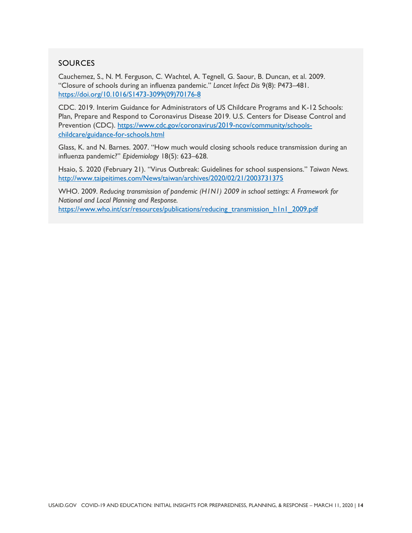#### **SOURCES**

Cauchemez, S., N. M. Ferguson, C. Wachtel, A. Tegnell, G. Saour, B. Duncan, et al. 2009. "Closure of schools during an influenza pandemic." *Lancet Infect Dis* 9(8): P473–481. [https://doi.org/10.1016/S1473-3099\(09\)70176-8](https://doi.org/10.1016/S1473-3099(09)70176-8)

CDC. 2019. Interim Guidance for Administrators of US Childcare Programs and K-12 Schools: Plan, Prepare and Respond to Coronavirus Disease 2019. U.S. Centers for Disease Control and Prevention (CDC). [https://www.cdc.gov/coronavirus/2019-ncov/community/schools](https://www.cdc.gov/coronavirus/2019-ncov/community/schools-childcare/guidance-for-schools.html)[childcare/guidance-for-schools.html](https://www.cdc.gov/coronavirus/2019-ncov/community/schools-childcare/guidance-for-schools.html)

Glass, K. and N. Barnes. 2007. "How much would closing schools reduce transmission during an influenza pandemic?" *Epidemiology* 18(5): 623–628.

Hsaio, S. 2020 (February 21). "Virus Outbreak: Guidelines for school suspensions." *Taiwan News.*  <http://www.taipeitimes.com/News/taiwan/archives/2020/02/21/2003731375>

WHO. 2009. *Reducing transmission of pandemic (H1N1) 2009 in school settings: A Framework for National and Local Planning and Response.* [https://www.who.int/csr/resources/publications/reducing\\_transmission\\_h1n1\\_2009.pdf](https://www.who.int/csr/resources/publications/reducing_transmission_h1n1_2009.pdf)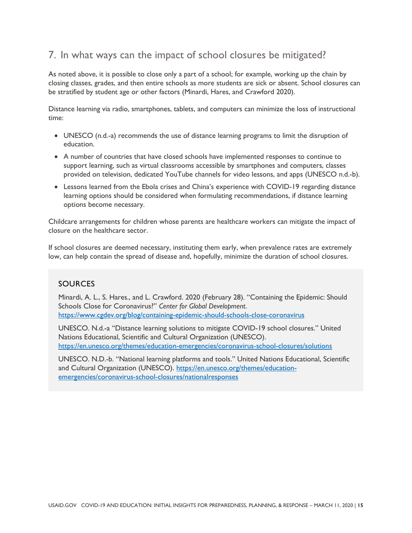## 7. In what ways can the impact of school closures be mitigated?

As noted above, it is possible to close only a part of a school; for example, working up the chain by closing classes, grades, and then entire schools as more students are sick or absent. School closures can be stratified by student age or other factors (Minardi, Hares, and Crawford 2020).

Distance learning via radio, smartphones, tablets, and computers can minimize the loss of instructional time:

- UNESCO (n.d.-a) recommends the use of distance learning programs to limit the disruption of education.
- A number of countries that have closed schools have implemented responses to continue to support learning, such as virtual classrooms accessible by smartphones and computers, classes provided on television, dedicated YouTube channels for video lessons, and apps (UNESCO n.d.-b).
- Lessons learned from the Ebola crises and China's experience with COVID-19 regarding distance learning options should be considered when formulating recommendations, if distance learning options become necessary.

Childcare arrangements for children whose parents are healthcare workers can mitigate the impact of closure on the healthcare sector.

If school closures are deemed necessary, instituting them early, when prevalence rates are extremely low, can help contain the spread of disease and, hopefully, minimize the duration of school closures.

#### SOURCES

Minardi, A. L., S. Hares., and L. Crawford. 2020 (February 28). "Containing the Epidemic: Should Schools Close for Coronavirus?" *Center for Global Development*. <https://www.cgdev.org/blog/containing-epidemic-should-schools-close-coronavirus>

UNESCO. N.d.-a "Distance learning solutions to mitigate COVID-19 school closures." United Nations Educational, Scientific and Cultural Organization (UNESCO). <https://en.unesco.org/themes/education-emergencies/coronavirus-school-closures/solutions>

UNESCO. N.D.-b. "National learning platforms and tools." United Nations Educational, Scientific and Cultural Organization (UNESCO). [https://en.unesco.org/themes/education](https://en.unesco.org/themes/education-emergencies/coronavirus-school-closures/nationalresponses)[emergencies/coronavirus-school-closures/nationalresponses](https://en.unesco.org/themes/education-emergencies/coronavirus-school-closures/nationalresponses)